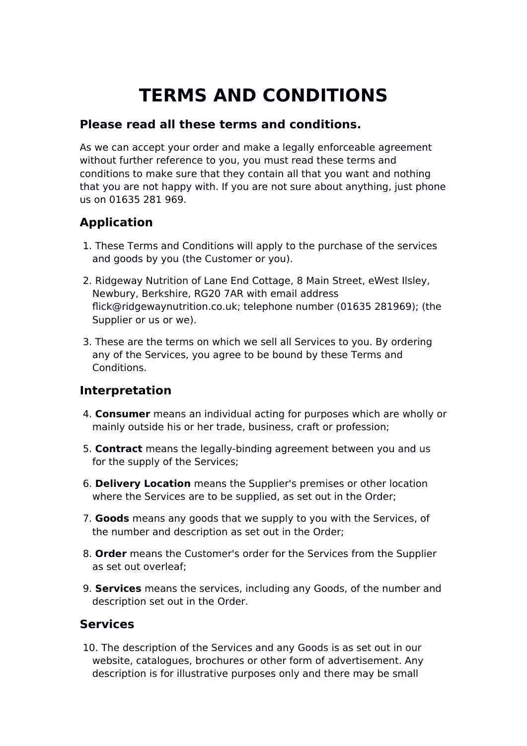# **TERMS AND CONDITIONS**

### **Please read all these terms and conditions.**

As we can accept your order and make a legally enforceable agreement without further reference to you, you must read these terms and conditions to make sure that they contain all that you want and nothing that you are not happy with. If you are not sure about anything, just phone us on 01635 281 969.

# **Application**

- 1. These Terms and Conditions will apply to the purchase of the services and goods by you (the Customer or you).
- 2. Ridgeway Nutrition of Lane End Cottage, 8 Main Street, eWest Ilsley, Newbury, Berkshire, RG20 7AR with email address flick@ridgewaynutrition.co.uk; telephone number (01635 281969); (the Supplier or us or we).
- 3. These are the terms on which we sell all Services to you. By ordering any of the Services, you agree to be bound by these Terms and Conditions.

#### **Interpretation**

- 4. **Consumer** means an individual acting for purposes which are wholly or mainly outside his or her trade, business, craft or profession
- 5. **Contract** means the legally-binding agreement between you and us for the supply of the Services
- 6. **Delivery Location** means the Supplier's premises or other location where the Services are to be supplied, as set out in the Order;
- 7. **Goods** means any goods that we supply to you with the Services, of the number and description as set out in the Order
- 8. **Order** means the Customer's order for the Services from the Supplier as set out overleaf
- 9. **Services** means the services, including any Goods, of the number and description set out in the Order.

#### **Services**

 10. The description of the Services and any Goods is as set out in our website, catalogues, brochures or other form of advertisement. Any description is for illustrative purposes only and there may be small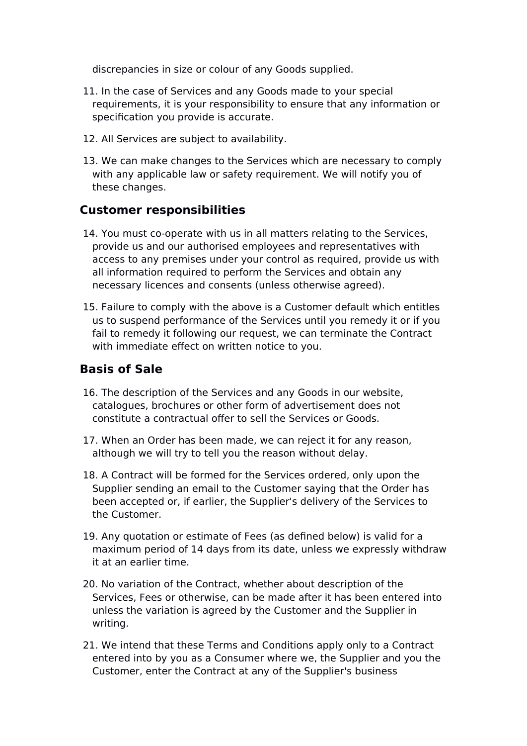discrepancies in size or colour of any Goods supplied.

- 11. In the case of Services and any Goods made to your special requirements, it is your responsibility to ensure that any information or specification you provide is accurate.
- 12. All Services are subject to availability.
- 13. We can make changes to the Services which are necessary to comply with any applicable law or safety requirement. We will notify you of these changes.

#### **Customer responsibilities**

- 14. You must co-operate with us in all matters relating to the Services, provide us and our authorised employees and representatives with access to any premises under your control as required, provide us with all information required to perform the Services and obtain any necessary licences and consents (unless otherwise agreed).
- 15. Failure to comply with the above is a Customer default which entitles us to suspend performance of the Services until you remedy it or if you fail to remedy it following our request, we can terminate the Contract with immediate effect on written notice to you.

#### **Basis of Sale**

- 16. The description of the Services and any Goods in our website, catalogues, brochures or other form of advertisement does not constitute a contractual offer to sell the Services or Goods.
- 17. When an Order has been made, we can reject it for any reason, although we will try to tell you the reason without delay.
- 18. A Contract will be formed for the Services ordered, only upon the Supplier sending an email to the Customer saying that the Order has been accepted or, if earlier, the Supplier's delivery of the Services to the Customer.
- 19. Any quotation or estimate of Fees (as defined below) is valid for a maximum period of 14 days from its date, unless we expressly withdraw it at an earlier time.
- 20. No variation of the Contract, whether about description of the Services, Fees or otherwise, can be made after it has been entered into unless the variation is agreed by the Customer and the Supplier in writing.
- 21. We intend that these Terms and Conditions apply only to a Contract entered into by you as a Consumer where we, the Supplier and you the Customer, enter the Contract at any of the Supplier's business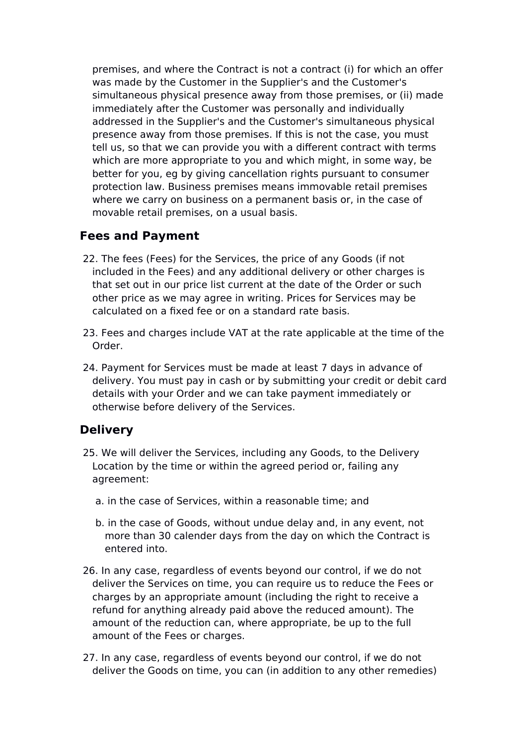premises, and where the Contract is not a contract (i) for which an ofer was made by the Customer in the Supplier's and the Customer's simultaneous physical presence away from those premises, or (ii) made immediately after the Customer was personally and individually addressed in the Supplier's and the Customer's simultaneous physical presence away from those premises. If this is not the case, you must tell us, so that we can provide you with a diferent contract with terms which are more appropriate to you and which might, in some way, be better for you, eg by giving cancellation rights pursuant to consumer protection law. Business premises means immovable retail premises where we carry on business on a permanent basis or, in the case of movable retail premises, on a usual basis.

#### **Fees and Payment**

- 22. The fees (Fees) for the Services, the price of any Goods (if not included in the Fees) and any additional delivery or other charges is that set out in our price list current at the date of the Order or such other price as we may agree in writing. Prices for Services may be calculated on a fixed fee or on a standard rate basis.
- 23. Fees and charges include VAT at the rate applicable at the time of the Order.
- 24. Payment for Services must be made at least 7 days in advance of delivery. You must pay in cash or by submitting your credit or debit card details with your Order and we can take payment immediately or otherwise before delivery of the Services.

#### **Delivery**

- 25. We will deliver the Services, including any Goods, to the Delivery Location by the time or within the agreed period or, failing any agreement:
	- a. in the case of Services, within a reasonable time: and
	- b. in the case of Goods, without undue delay and, in any event, not more than 30 calender days from the day on which the Contract is entered into.
- 26. In any case, regardless of events beyond our control, if we do not deliver the Services on time, you can require us to reduce the Fees or charges by an appropriate amount (including the right to receive a refund for anything already paid above the reduced amount). The amount of the reduction can, where appropriate, be up to the full amount of the Fees or charges.
- 27. In any case, regardless of events beyond our control, if we do not deliver the Goods on time, you can (in addition to any other remedies)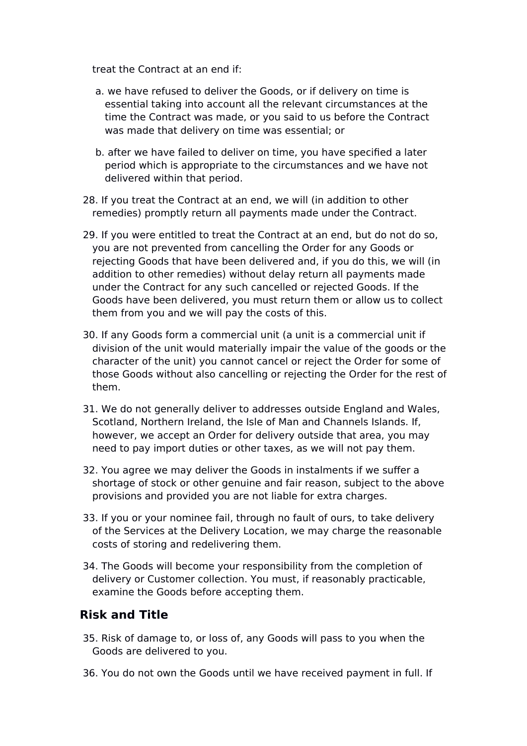treat the Contract at an end if:

- a. we have refused to deliver the Goods, or if delivery on time is essential taking into account all the relevant circumstances at the time the Contract was made, or you said to us before the Contract was made that delivery on time was essential; or
- b. after we have failed to deliver on time, you have specified a later period which is appropriate to the circumstances and we have not delivered within that period.
- 28. If you treat the Contract at an end, we will (in addition to other remedies) promptly return all payments made under the Contract.
- 29. If you were entitled to treat the Contract at an end, but do not do so, you are not prevented from cancelling the Order for any Goods or rejecting Goods that have been delivered and, if you do this, we will (in addition to other remedies) without delay return all payments made under the Contract for any such cancelled or rejected Goods. If the Goods have been delivered, you must return them or allow us to collect them from you and we will pay the costs of this.
- 30. If any Goods form a commercial unit (a unit is a commercial unit if division of the unit would materially impair the value of the goods or the character of the unit) you cannot cancel or reject the Order for some of those Goods without also cancelling or rejecting the Order for the rest of them.
- 31. We do not generally deliver to addresses outside England and Wales, Scotland, Northern Ireland, the Isle of Man and Channels Islands. If, however, we accept an Order for delivery outside that area, you may need to pay import duties or other taxes, as we will not pay them.
- 32. You agree we may deliver the Goods in instalments if we sufer a shortage of stock or other genuine and fair reason, subject to the above provisions and provided you are not liable for extra charges.
- 33. If you or your nominee fail, through no fault of ours, to take delivery of the Services at the Delivery Location, we may charge the reasonable costs of storing and redelivering them.
- 34. The Goods will become your responsibility from the completion of delivery or Customer collection. You must, if reasonably practicable, examine the Goods before accepting them.

#### **Risk and Title**

- 35. Risk of damage to, or loss of, any Goods will pass to you when the Goods are delivered to you.
- 36. You do not own the Goods until we have received payment in full. If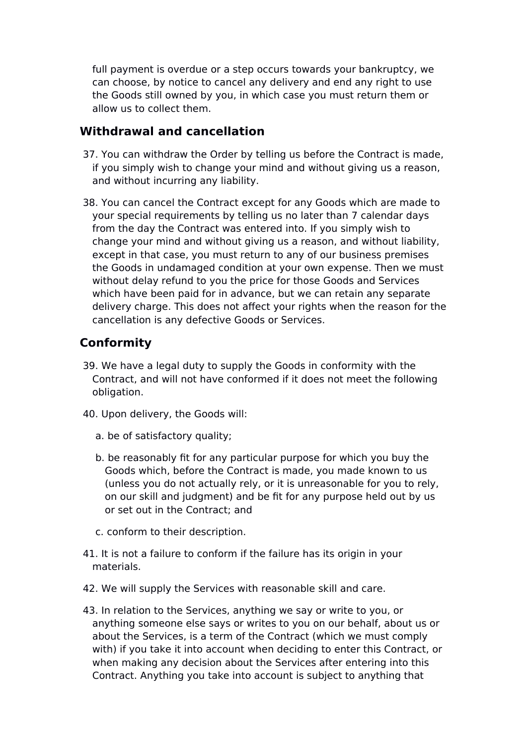full payment is overdue or a step occurs towards your bankruptcy, we can choose, by notice to cancel any delivery and end any right to use the Goods still owned by you, in which case you must return them or allow us to collect them.

#### **Withdrawal and cancellation**

- 37. You can withdraw the Order by telling us before the Contract is made, if you simply wish to change your mind and without giving us a reason, and without incurring any liability.
- 38. You can cancel the Contract except for any Goods which are made to your special requirements by telling us no later than 7 calendar days from the day the Contract was entered into. If you simply wish to change your mind and without giving us a reason, and without liability, except in that case, you must return to any of our business premises the Goods in undamaged condition at your own expense. Then we must without delay refund to you the price for those Goods and Services which have been paid for in advance, but we can retain any separate delivery charge. This does not afect your rights when the reason for the cancellation is any defective Goods or Services.

## **Conformity**

- 39. We have a legal duty to supply the Goods in conformity with the Contract, and will not have conformed if it does not meet the following obligation.
- 40. Upon delivery, the Goods will:
	- a. be of satisfactory quality
	- b. be reasonably fit for any particular purpose for which you buy the Goods which, before the Contract is made, you made known to us (unless you do not actually rely, or it is unreasonable for you to rely, on our skill and judgment) and be fit for any purpose held out by us or set out in the Contract: and
	- c. conform to their description.
- 41. It is not a failure to conform if the failure has its origin in your materials.
- 42. We will supply the Services with reasonable skill and care.
- 43. In relation to the Services, anything we say or write to you, or anything someone else says or writes to you on our behalf, about us or about the Services, is a term of the Contract (which we must comply with) if you take it into account when deciding to enter this Contract, or when making any decision about the Services after entering into this Contract. Anything you take into account is subject to anything that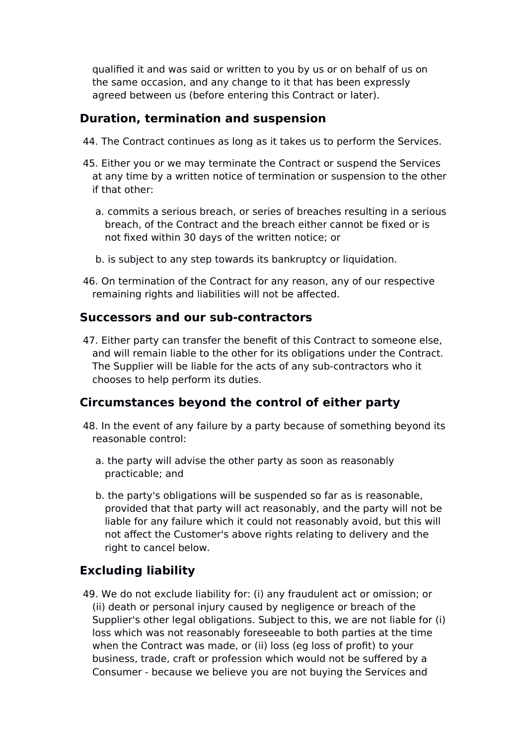qualified it and was said or written to you by us or on behalf of us on the same occasion, and any change to it that has been expressly agreed between us (before entering this Contract or later).

#### **Duration, termination and suspension**

- 44. The Contract continues as long as it takes us to perform the Services.
- 45. Either you or we may terminate the Contract or suspend the Services at any time by a written notice of termination or suspension to the other if that other:
	- a. commits a serious breach, or series of breaches resulting in a serious breach, of the Contract and the breach either cannot be fixed or is not fixed within 30 days of the written notice; or
	- b. is subject to any step towards its bankruptcy or liquidation.
- 46. On termination of the Contract for any reason, any of our respective remaining rights and liabilities will not be afected.

#### **Successors and our sub-contractors**

 47. Either party can transfer the benefit of this Contract to someone else, and will remain liable to the other for its obligations under the Contract. The Supplier will be liable for the acts of any sub-contractors who it chooses to help perform its duties.

#### **Circumstances beyond the control of either party**

- 48. In the event of any failure by a party because of something beyond its reasonable control:
	- a. the party will advise the other party as soon as reasonably practicable; and
	- b. the party's obligations will be suspended so far as is reasonable, provided that that party will act reasonably, and the party will not be liable for any failure which it could not reasonably avoid, but this will not afect the Customer's above rights relating to delivery and the right to cancel below.

## **Excluding liability**

49. We do not exclude liability for: (i) any fraudulent act or omission; or (ii) death or personal injury caused by negligence or breach of the Supplier's other legal obligations. Subject to this, we are not liable for (i) loss which was not reasonably foreseeable to both parties at the time when the Contract was made, or (ii) loss (eg loss of profit) to your business, trade, craft or profession which would not be sufered by a Consumer - because we believe you are not buying the Services and